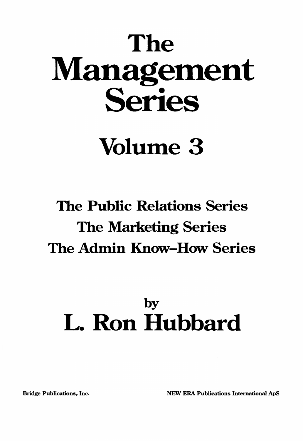# The Management Series

# Volume 3

## The Public Relations Series The Marketing Series The Admin Know-How Series

## by L. Ron Hubbard

Bridge Publications, Inc. NEW ERA Publications International ApS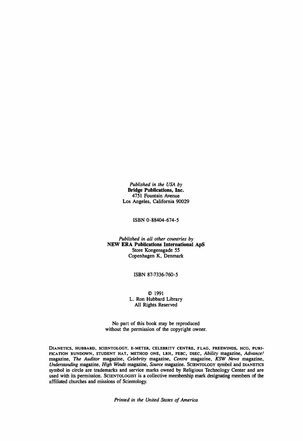*Published in the USA by* **Bridge Publications, Inc.** 4751 Fountain Avenue Los Angeles, California 90029

ISBN 0-88404-674-5

*Published in all other countries by* **NEW ERA Publications International ApS** Store Kongensgade 55 Copenhagen K, Denmark

ISBN 87-7336-760-5

© 1991 L. Ron Hubbard Library All Rights Reserved

No part of this book may be reproduced without the permission of the copyright owner.

DIANETICS, HUBBARD, SCIENTOLOGY, E-METER, CELEBRITY CENTRE, FLAG. FREEWlNDS, HCO, PURI-FICATION RUNDOWN, STUDENT HAT, METHOD ONE, LRH, FEBC, DSEC. *Ability* magazine. *Advance!* magazine, *The Auditor* magazine, *Celebrity* magazine, *Centre* magazine, *KSW News* magazine, *Understanding* magazine, *High Winds* magazine, *Source* magazine. SCIENTOLOGY symbol and DIANETICS symbol in circle are trademarks and service marks owned by Religious Technology Center and are used with its permission. SCIENTOLOGIST is a collective membership mark designating members of the affiliated churches and missions of Scientology.

*Printed in the United States of America*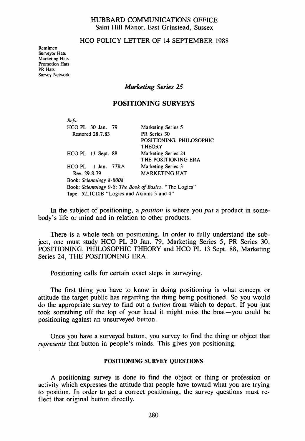#### HUBBARD COMMUNICATIONS OFFICE Saint Hill Manor, East Grinstead, Sussex

#### HCO POLICY LETTER OF 14 SEPTEMBER 1988

Remimeo Surveyor Hats Marketing Hats Promotion Hats PR Hats Survey Network

#### *Marketing Series 25*

#### POSITIONING SURVEYS

| Refs:                                                   |                            |
|---------------------------------------------------------|----------------------------|
| HCO PL 30 Jan. 79                                       | Marketing Series 5         |
| <b>Restored 28.7.83</b>                                 | PR Series 30               |
|                                                         | POSITIONING, PHILOSOPHIC   |
|                                                         | <b>THEORY</b>              |
| HCO PL 13 Sept. 88                                      | <b>Marketing Series 24</b> |
|                                                         | THE POSITIONING ERA        |
| $HCO$ PL $\parallel$ Jan. 77RA                          | <b>Marketing Series 3</b>  |
| Rev. 29.8.79                                            | MARKETING HAT              |
| Book: Scientology 8-8008                                |                            |
| Book: Scientology 0-8: The Book of Basics, "The Logics" |                            |
| Tape: 5211C10B "Logics and Axioms 3 and 4"              |                            |

In the subject of positioning, a *position* is where you *put* a product in somebody's life or mind and in relation to other products.

There is a whole tech on positioning. In order to fully understand the subject, one must study HCO PL 30 Jan. 79, Marketing Series 5, PR Series 30, POSITIONING, PHILOSOPHIC THEORY and HCO PL 13 Sept. 88, Marketing Series 24, THE POSITIONING ERA.

Positioning calls for certain exact steps in surveying.

The first thing you have to know in doing positioning is what concept or attitude the target public has regarding the thing being positioned. So you would do the appropriate survey to find out a *button* from which to depart. If you just took something off the top of your head it might miss the boat-you could be positioning against an unsurveyed button.

Once you have a surveyed button, you survey to find the thing or object that *represents* that button in people's minds. This gives you positioning.

#### POSITIONING SURVEY QUESTIONS

A positioning survey is done to find the object or thing or profession or activity which expresses the attitude that people have toward what you are trying to position. In order to get a correct positioning, the survey questions must reflect that original button directly.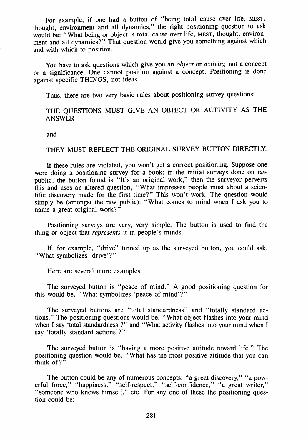For example, if one had a button of "being total cause over life, MEST, thought, environment and all dynamics," the right positioning question to ask would be: "What being or object is total cause over life, MEST, thought, environment and all dynamics?" That question would give you something against which and with which to position.

You have to ask questions which give you an *object* or *activity,* not a concept or a significance. One cannot position against a concept. Positioning is done against specific THINGS, not ideas.

Thus, there are two very basic rules about positioning survey questions:

#### THE QUESTIONS MUST GIVE AN OBJECT OR ACTIVITY AS THE ANSWER

and

#### THEY MUST REFLECT THE ORIGINAL SURVEY BUTTON DIRECTLY.

If these rules are violated, you won't get a correct positioning. Suppose one were doing a positioning survey for a book: in the initial surveys done on raw public, the button found is "It's an original work," then the surveyor perverts this and uses an altered question, "What impresses people most about a scientific discovery made for the first time?" This won't work. The question would simply be (amongst the raw public): "What comes to mind when I ask you to name a great original work?"

Positioning surveys are very, very simple. The button is used to find the thing or object that *represents* it in people's minds.

If, for example, "drive" turned up as the surveyed button, you could ask, "What symbolizes 'drive'?"

Here are several more examples:

The surveyed button is "peace of mind." A good positioning question for this would be, "What symbolizes 'peace of mind'?"

The surveyed buttons are "total standardness" and "totally standard actions." The positioning questions would be, "What object flashes into your mind when I say 'total standardness'?" and "What activity flashes into your mind when I say 'totally standard actions'?"

The surveyed button is "having a more positive attitude toward life." The positioning question would be, "What has the most positive attitude that you can think of?"

The button could be any of numerous concepts: "a great discovery," "a powerful force," "happiness," "self-respect," "self-confidence," "a great writer," "someone who knows himself," etc. For any one of these the positioning question could be: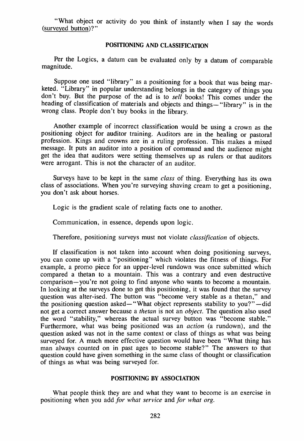"What object or activity do you think of instantly when I say the words (surveyed button)?"

#### POSITIONING AND CLASSIFICATION

Per the Logics, a datum can be evaluated only by a datum of comparable magnitude.

Suppose one used "library" as a positioning for a book that was being marketed. "Library" in popular understanding belongs in the category of things you don't buy. But the purpose of the ad is to *sell* books! This comes under the heading of classification of materials and objects and things- "library" is in the wrong class. People don't buy books in the library.

Another example of incorrect classification would be using a crown as the positioning object for auditor training. Auditors are in the healing or pastoral profession. Kings and crowns are in a ruling profession. This makes a mixed message. It puts an auditor into a position of command and the audience might get the idea that auditors were setting themselves up as rulers or that auditors were arrogant. This is not the character of an auditor.

Surveys have to be kept in the same *class* of thing. Everything has its own class of associations. When you're surveying shaving cream to get a positioning, you don't ask about horses.

Logic is the gradient scale of relating facts one to another.

Communication, in essence, depends upon logic.

Therefore, positioning surveys must not violate *classification* of objects.

If classification is not taken into account when doing positioning surveys, you can come up with a "positioning" which violates the fitness of things. For example, a promo piece for an upper-level rundown was once submitted which compared a thetan to a mountain. This was a contrary and even destructive comparison-you're not going to find anyone who wants to become a mountain. In looking at the surveys done to get this positioning, it was found that the survey question was alter-ised. The button was "become very stable as a thetan," and the positioning question asked— "What object represents stability to you?"—did not get a correct answer because a *thetan* is not an *object.* The question also used the word "stability," whereas the actual survey button was "become stable." Furthermore, what was being positioned was an *action* (a rundown), and the question asked was not in the same context or class of things as what was being surveyed for. A much more effective question would have been "What thing has man always counted on in past ages to become stable?" The answers to that question could have given something in the same class of thought or classification of things as what was being surveyed for.

#### POSITIONING BY ASSOCIATION

What people think they are and what they want to become is an exercise in positioning when you add *for what service* and *for what org.*